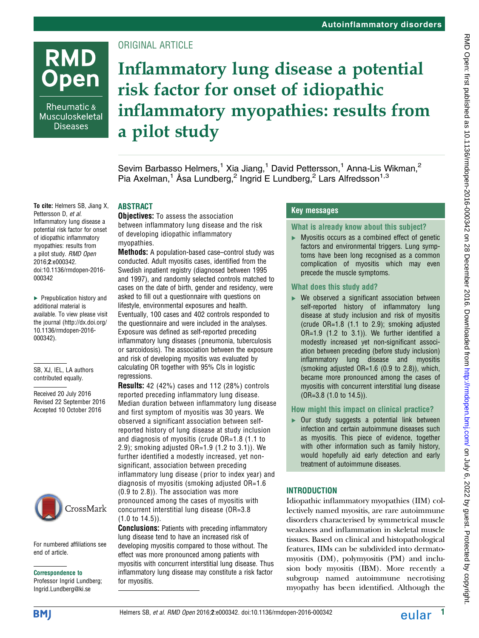# **RMD Open**

Rheumatic  $\&$ Musculoskeletal **Diseases** 

Pettersson D, et al. Inflammatory lung disease a potential risk factor for onset of idiopathic inflammatory myopathies: results from a pilot study. RMD Open 2016;2:e000342.

000342

[000342\)](http://dx.doi.org/10.1136/rmdopen-2016-000342).

doi:10.1136/rmdopen-2016-

▶ Prepublication history and additional material is available. To view please visit the journal [\(http://dx.doi.org/](http://dx.doi.org/10.1136/rmdopen-2016-000342) [10.1136/rmdopen-2016-](http://dx.doi.org/10.1136/rmdopen-2016-000342)

## ORIGINAL ARTICLE

## Inflammatory lung disease a potential risk factor for onset of idiopathic inflammatory myopathies: results from a pilot study

Sevim Barbasso Helmers,<sup>1</sup> Xia Jiang,<sup>1</sup> David Pettersson,<sup>1</sup> Anna-Lis Wikman,<sup>2</sup> Pia Axelman,<sup>1</sup> Åsa Lundberg,<sup>2</sup> Ingrid E Lundberg,<sup>2</sup> Lars Alfredsson<sup>1,3</sup>

#### To cite: Helmers SB, Jiang X, ABSTRACT

**Objectives:** To assess the association between inflammatory lung disease and the risk of developing idiopathic inflammatory myopathies.

Methods: A population-based case–control study was conducted. Adult myositis cases, identified from the Swedish inpatient registry (diagnosed between 1995 and 1997), and randomly selected controls matched to cases on the date of birth, gender and residency, were asked to fill out a questionnaire with questions on lifestyle, environmental exposures and health. Eventually, 100 cases and 402 controls responded to the questionnaire and were included in the analyses. Exposure was defined as self-reported preceding inflammatory lung diseases ( pneumonia, tuberculosis or sarcoidosis). The association between the exposure and risk of developing myositis was evaluated by calculating OR together with 95% CIs in logistic regressions.

Results: 42 (42%) cases and 112 (28%) controls reported preceding inflammatory lung disease. Median duration between inflammatory lung disease and first symptom of myositis was 30 years. We observed a significant association between selfreported history of lung disease at study inclusion and diagnosis of myositis (crude OR=1.8 (1.1 to 2.9); smoking adjusted OR=1.9 (1.2 to 3.1)). We further identified a modestly increased, yet nonsignificant, association between preceding inflammatory lung disease ( prior to index year) and diagnosis of myositis (smoking adjusted OR=1.6 (0.9 to 2.8)). The association was more pronounced among the cases of myositis with concurrent interstitial lung disease (OR=3.8 (1.0 to 14.5)).

**Conclusions:** Patients with preceding inflammatory lung disease tend to have an increased risk of developing myositis compared to those without. The effect was more pronounced among patients with myositis with concurrent interstitial lung disease. Thus inflammatory lung disease may constitute a risk factor for myositis.

#### Key messages

#### What is already know about this subject?

 $\blacktriangleright$  Myositis occurs as a combined effect of genetic factors and environmental triggers. Lung symptoms have been long recognised as a common complication of myositis which may even precede the muscle symptoms.

#### What does this study add?

 $\blacktriangleright$  We observed a significant association between self-reported history of inflammatory lung disease at study inclusion and risk of myositis (crude OR=1.8 (1.1 to 2.9); smoking adjusted OR=1.9 (1.2 to 3.1)). We further identified a modestly increased yet non-significant association between preceding (before study inclusion) inflammatory lung disease and myositis (smoking adjusted  $OR=1.6$  (0.9 to 2.8)), which, became more pronounced among the cases of myositis with concurrent interstitial lung disease (OR=3.8 (1.0 to 14.5)).

#### How might this impact on clinical practice?

▶ Our study suggests a potential link between infection and certain autoimmune diseases such as myositis. This piece of evidence, together with other information such as family history, would hopefully aid early detection and early treatment of autoimmune diseases.

#### INTRODUCTION

Idiopathic inflammatory myopathies (IIM) collectively named myositis, are rare autoimmune disorders characterised by symmetrical muscle weakness and inflammation in skeletal muscle tissues. Based on clinical and histopathological features, IIMs can be subdivided into dermatomyositis (DM), polymyositis (PM) and inclusion body myositis (IBM). More recently a subgroup named autoimmune necrotising myopathy has been identified. Although the

Received 20 July 2016 Revised 22 September 2016 Accepted 10 October 2016

SB, XJ, IEL, LA authors contributed equally.



For numbered affiliations see end of article.

Correspondence to Professor Ingrid Lundberg; Ingrid.Lundberg@ki.se

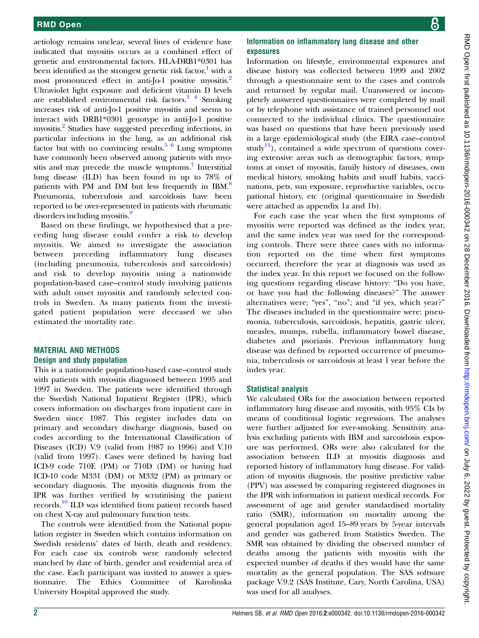aetiology remains unclear, several lines of evidence have indicated that myositis occurs as a combined effect of genetic and environmental factors. HLA-DRB1\*0301 has been identified as the strongest genetic risk factor, $\frac{1}{1}$  with a most pronounced effect in anti-Jo-1 positive myositis.<sup>[2](#page-5-0)</sup> Ultraviolet light exposure and deficient vitamin D levels are established environmental risk factors.<sup>3</sup> <sup>4</sup> Smoking increases risk of anti-Jo-1 positive myositis and seems to interact with DRB1\*0301 genotype in anti-Jo-1 positive myositis[.2](#page-5-0) Studies have suggested preceding infections, in particular infections in the lung, as an additional risk factor but with no convincing results.<sup>5  $6$ </sup> Lung symptoms have commonly been observed among patients with myositis and may precede the muscle symptoms[.7](#page-5-0) Interstitial lung disease (ILD) has been found in up to 78% of patients with PM and DM but less frequently in IBM.<sup>[8](#page-5-0)</sup> Pneumonia, tuberculosis and sarcoidosis have been reported to be over-represented in patients with rheumatic disorders including myositis.<sup>9</sup>

Based on these findings, we hypothesised that a preceding lung disease could confer a risk to develop myositis. We aimed to investigate the association between preceding inflammatory lung diseases (including pneumonia, tuberculosis and sarcoidosis) and risk to develop myositis using a nationwide population-based case–control study involving patients with adult onset myositis and randomly selected controls in Sweden. As many patients from the investigated patient population were deceased we also estimated the mortality rate.

#### MATERIAL AND METHODS Design and study population

This is a nationwide population-based case–control study with patients with myositis diagnosed between 1995 and 1997 in Sweden. The patients were identified through the Swedish National Inpatient Register (IPR), which covers information on discharges from inpatient care in Sweden since 1987. This register includes data on primary and secondary discharge diagnosis, based on codes according to the International Classification of Diseases (ICD) V.9 (valid from 1987 to 1996) and V.10 (valid from 1997). Cases were defined by having had ICD-9 code 710E (PM) or 710D (DM) or having had ICD-10 code M331 (DM) or M332 (PM) as primary or secondary diagnosis. The myositis diagnosis from the IPR was further verified by scrutinising the patient records.[10](#page-5-0) ILD was identified from patient records based on chest X-ray and pulmonary function tests.

The controls were identified from the National population register in Sweden which contains information on Swedish residents' dates of birth, death and residency. For each case six controls were randomly selected matched by date of birth, gender and residential area of the case. Each participant was invited to answer a questionnaire. The Ethics Committee of Karolinska University Hospital approved the study.

#### Information on inflammatory lung disease and other exposures

Information on lifestyle, environmental exposures and disease history was collected between 1999 and 2002 through a questionnaire sent to the cases and controls and returned by regular mail. Unanswered or incompletely answered questionnaires were completed by mail or by telephone with assistance of trained personnel not connected to the individual clinics. The questionnaire was based on questions that have been previously used in a large epidemiological study (the EIRA case–control study<sup>11</sup>), contained a wide spectrum of questions covering extensive areas such as demographic factors, symptoms at onset of myositis, family history of diseases, own medical history, smoking habits and snuff habits, vaccinations, pets, sun exposure, reproductive variables, occupational history, etc (original questionnaire in Swedish were attached as appendix 1a and 1b).

For each case the year when the first symptoms of myositis were reported was defined as the index year, and the same index year was used for the corresponding controls. There were three cases with no information reported on the time when first symptoms occurred, therefore the year at diagnosis was used as the index year. In this report we focused on the following questions regarding disease history: "Do you have, or have you had the following diseases?" The answer alternatives were; "yes", "no"; and "if yes, which year?" The diseases included in the questionnaire were: pneumonia, tuberculosis, sarcoidosis, hepatitis, gastric ulcer, measles, mumps, rubella, inflammatory bowel disease, diabetes and psoriasis. Previous inflammatory lung disease was defined by reported occurrence of pneumonia, tuberculosis or sarcoidosis at least 1 year before the index year.

#### Statistical analysis

We calculated ORs for the association between reported inflammatory lung disease and myositis, with 95% CIs by means of conditional logistic regressions. The analyses were further adjusted for ever-smoking. Sensitivity analysis excluding patients with IBM and sarcoidosis exposure was performed. ORs were also calculated for the association between ILD at myositis diagnosis and reported history of inflammatory lung disease. For validation of myositis diagnosis, the positive predictive value (PPV) was assessed by comparing registered diagnoses in the IPR with information in patient medical records. For assessment of age and gender standardised mortality ratio (SMR), information on mortality among the general population aged 15–89 years by 5-year intervals and gender was gathered from Statistics Sweden. The SMR was obtained by dividing the observed number of deaths among the patients with myositis with the expected number of deaths if they would have the same mortality as the general population. The SAS software package V.9.2 (SAS Institute, Cary, North Carolina, USA) was used for all analyses.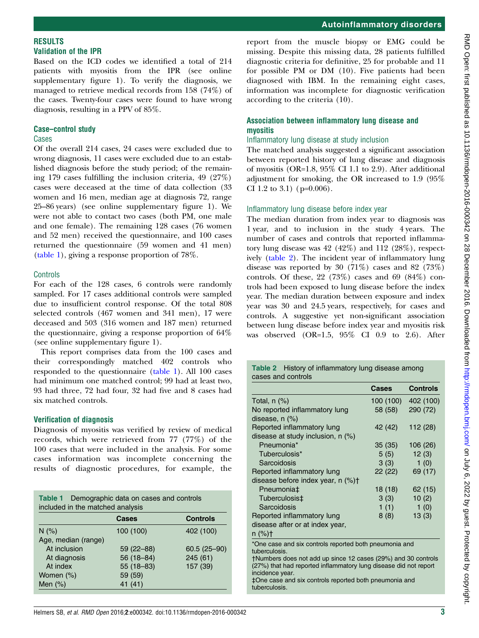#### RESULTS Validation of the IPR

Based on the ICD codes we identified a total of 214 patients with myositis from the IPR (see online [supplementary](http://dx.doi.org/10.1136/rmdopen-2016-000342) figure 1). To verify the diagnosis, we managed to retrieve medical records from 158 (74%) of the cases. Twenty-four cases were found to have wrong diagnosis, resulting in a PPV of 85%.

#### Case–control study

#### **Cases**

Of the overall 214 cases, 24 cases were excluded due to wrong diagnosis, 11 cases were excluded due to an established diagnosis before the study period; of the remaining 179 cases fulfilling the inclusion criteria, 49 (27%) cases were deceased at the time of data collection (33 women and 16 men, median age at diagnosis 72, range 25–86 years) (see online [supplementary](http://dx.doi.org/10.1136/rmdopen-2016-000342) figure 1). We were not able to contact two cases (both PM, one male and one female). The remaining 128 cases (76 women and 52 men) received the questionnaire, and 100 cases returned the questionnaire (59 women and 41 men) (table 1), giving a response proportion of 78%.

#### **Controls**

For each of the 128 cases, 6 controls were randomly sampled. For 17 cases additional controls were sampled due to insufficient control response. Of the total 808 selected controls (467 women and 341 men), 17 were deceased and 503 (316 women and 187 men) returned the questionnaire, giving a response proportion of 64% (see online [supplementary](http://dx.doi.org/10.1136/rmdopen-2016-000342) figure 1).

This report comprises data from the 100 cases and their correspondingly matched 402 controls who responded to the questionnaire (table 1). All 100 cases had minimum one matched control; 99 had at least two, 93 had three, 72 had four, 32 had five and 8 cases had six matched controls.

#### Verification of diagnosis

Diagnosis of myositis was verified by review of medical records, which were retrieved from 77 (77%) of the 100 cases that were included in the analysis. For some cases information was incomplete concerning the results of diagnostic procedures, for example, the

| <b>Table 1</b> Demographic data on cases and controls<br>included in the matched analysis |              |                 |  |  |  |
|-------------------------------------------------------------------------------------------|--------------|-----------------|--|--|--|
|                                                                                           | Cases        | <b>Controls</b> |  |  |  |
| N(% )                                                                                     | 100 (100)    | 402 (100)       |  |  |  |
| Age, median (range)                                                                       |              |                 |  |  |  |
| At inclusion                                                                              | 59 (22 - 88) | $60.5(25 - 90)$ |  |  |  |
| At diagnosis                                                                              | 56 (18-84)   | 245 (61)        |  |  |  |
| At index                                                                                  | 55 (18-83)   | 157 (39)        |  |  |  |
| Women (%)                                                                                 | 59 (59)      |                 |  |  |  |
| Men $(\%)$                                                                                | 41 (41)      |                 |  |  |  |

report from the muscle biopsy or EMG could be missing. Despite this missing data, 28 patients fulfilled diagnostic criteria for definitive, 25 for probable and 11 for possible PM or DM (10). Five patients had been diagnosed with IBM. In the remaining eight cases, information was incomplete for diagnostic verification according to the criteria (10).

#### Association between inflammatory lung disease and myositis

#### Inflammatory lung disease at study inclusion

The matched analysis suggested a significant association between reported history of lung disease and diagnosis of myositis (OR=1.8, 95% CI 1.1 to 2.9). After additional adjustment for smoking, the OR increased to 1.9 (95% CI 1.2 to 3.1) ( $p=0.006$ ).

#### Inflammatory lung disease before index year

The median duration from index year to diagnosis was 1 year, and to inclusion in the study 4 years. The number of cases and controls that reported inflammatory lung disease was 42 (42%) and 112 (28%), respectively (table 2). The incident year of inflammatory lung disease was reported by 30 (71%) cases and 82 (73%) controls. Of these, 22 (73%) cases and 69 (84%) controls had been exposed to lung disease before the index year. The median duration between exposure and index year was 30 and 24.5 years, respectively, for cases and controls. A suggestive yet non-significant association between lung disease before index year and myositis risk was observed (OR=1.5, 95% CI 0.9 to 2.6). After

| <b>Table 2</b> History of inflammatory lung disease among |
|-----------------------------------------------------------|
| cases and controls                                        |

|                                                                         | Cases     | <b>Controls</b> |  |  |  |
|-------------------------------------------------------------------------|-----------|-----------------|--|--|--|
| Total, $n$ $(\%)$                                                       | 100 (100) | 402 (100)       |  |  |  |
| No reported inflammatory lung                                           | 58 (58)   | 290 (72)        |  |  |  |
| disease, $n$ $(\%)$                                                     |           |                 |  |  |  |
| Reported inflammatory lung                                              | 42 (42)   | 112 (28)        |  |  |  |
| disease at study inclusion, $n$ (%)                                     |           |                 |  |  |  |
| Pneumonia*                                                              | 35(35)    | 106 (26)        |  |  |  |
| Tuberculosis*                                                           | 5(5)      | 12(3)           |  |  |  |
| Sarcoidosis                                                             | 3(3)      | 1(0)            |  |  |  |
| Reported inflammatory lung                                              | 22 (22)   | 69 (17)         |  |  |  |
| disease before index year, $n$ (%) $\dagger$                            |           |                 |  |  |  |
| Pneumonia‡                                                              | 18 (18)   | 62 (15)         |  |  |  |
| Tuberculosis‡                                                           | 3(3)      | 10(2)           |  |  |  |
| Sarcoidosis                                                             | 1(1)      | 1(0)            |  |  |  |
| Reported inflammatory lung                                              | 8(8)      | 13(3)           |  |  |  |
| disease after or at index year,                                         |           |                 |  |  |  |
| $n$ (%) $\dagger$                                                       |           |                 |  |  |  |
| *One case and six controls reported both pneumonia and<br>tuberculosis. |           |                 |  |  |  |
| †Numbers does not add up since 12 cases (29%) and 30 controls           |           |                 |  |  |  |
| (27%) that had reported inflammatory lung disease did not report        |           |                 |  |  |  |

(27%) that had reported inflammatory lung disease did not report incidence year.

‡One case and six controls reported both pneumonia and tuberculosis.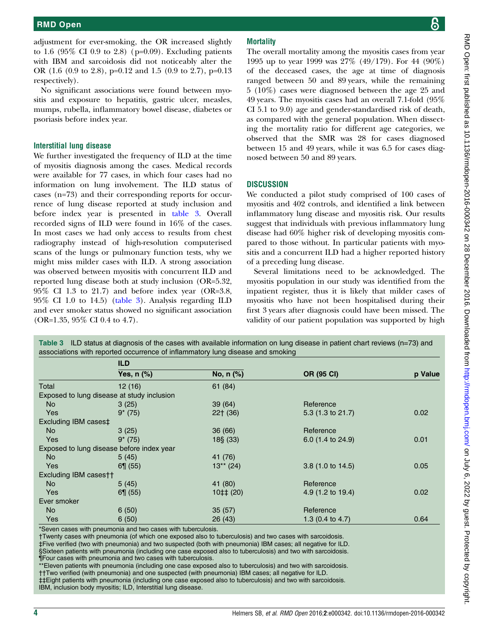adjustment for ever-smoking, the OR increased slightly to 1.6 (95% CI 0.9 to 2.8) (p=0.09). Excluding patients with IBM and sarcoidosis did not noticeably alter the OR (1.6 (0.9 to 2.8), p=0.12 and 1.5 (0.9 to 2.7), p=0.13 respectively).

No significant associations were found between myositis and exposure to hepatitis, gastric ulcer, measles, mumps, rubella, inflammatory bowel disease, diabetes or psoriasis before index year.

#### Interstitial lung disease

We further investigated the frequency of ILD at the time of myositis diagnosis among the cases. Medical records were available for 77 cases, in which four cases had no information on lung involvement. The ILD status of cases (n=73) and their corresponding reports for occurrence of lung disease reported at study inclusion and before index year is presented in table 3. Overall recorded signs of ILD were found in 16% of the cases. In most cases we had only access to results from chest radiography instead of high-resolution computerised scans of the lungs or pulmonary function tests, why we might miss milder cases with ILD. A strong association was observed between myositis with concurrent ILD and reported lung disease both at study inclusion (OR=5.32, 95% CI 1.3 to 21.7) and before index year (OR=3.8, 95% CI 1.0 to 14.5) (table 3). Analysis regarding ILD and ever smoker status showed no significant association (OR=1.35, 95% CI 0.4 to 4.7).

## ள்

#### **Mortality**

The overall mortality among the myositis cases from year 1995 up to year 1999 was 27% (49/179). For 44 (90%) of the deceased cases, the age at time of diagnosis ranged between 50 and 89 years, while the remaining 5 (10%) cases were diagnosed between the age 25 and 49 years. The myositis cases had an overall 7.1-fold (95% CI 5.1 to 9.0) age and gender-standardised risk of death, as compared with the general population. When dissecting the mortality ratio for different age categories, we observed that the SMR was 28 for cases diagnosed between 15 and 49 years, while it was 6.5 for cases diagnosed between 50 and 89 years.

#### **DISCUSSION**

We conducted a pilot study comprised of 100 cases of myositis and 402 controls, and identified a link between inflammatory lung disease and myositis risk. Our results suggest that individuals with previous inflammatory lung disease had 60% higher risk of developing myositis compared to those without. In particular patients with myositis and a concurrent ILD had a higher reported history of a preceding lung disease.

Several limitations need to be acknowledged. The myositis population in our study was identified from the inpatient register, thus it is likely that milder cases of myositis who have not been hospitalised during their first 3 years after diagnosis could have been missed. The validity of our patient population was supported by high

|                       | <b>ILD</b>                                 | associations with reported occurrence of inflammatory lung disease and smoking |                              |         |  |  |  |
|-----------------------|--------------------------------------------|--------------------------------------------------------------------------------|------------------------------|---------|--|--|--|
|                       | Yes, $n$ $%$                               | No, n (%)                                                                      | OR (95 CI)                   | p Value |  |  |  |
| Total                 | 12(16)                                     | 61 (84)                                                                        |                              |         |  |  |  |
|                       | Exposed to lung disease at study inclusion |                                                                                |                              |         |  |  |  |
| No                    | 3(25)                                      | 39(64)                                                                         | Reference                    |         |  |  |  |
| <b>Yes</b>            | $9*(75)$                                   | $22+$ (36)                                                                     | $5.3(1.3 \text{ to } 21.7)$  | 0.02    |  |  |  |
| Excluding IBM cases‡  |                                            |                                                                                |                              |         |  |  |  |
| <b>No</b>             | 3(25)                                      | 36(66)                                                                         | Reference                    |         |  |  |  |
| <b>Yes</b>            | $9*(75)$                                   | $18\S(33)$                                                                     | 6.0 (1.4 to 24.9)            | 0.01    |  |  |  |
|                       | Exposed to lung disease before index year  |                                                                                |                              |         |  |  |  |
| No                    | 5 (45)                                     | 41 (76)                                                                        |                              |         |  |  |  |
| <b>Yes</b>            | $6\P(55)$                                  | $13**$ (24)                                                                    | $3.8(1.0 \text{ to } 14.5)$  | 0.05    |  |  |  |
| Excluding IBM cases†† |                                            |                                                                                |                              |         |  |  |  |
| No.                   | 5(45)                                      | 41 (80)                                                                        | Reference                    |         |  |  |  |
| Yes                   | $6\P(55)$                                  | $10 \ddagger \ddagger (20)$                                                    | 4.9 $(1.2 \text{ to } 19.4)$ | 0.02    |  |  |  |
| Ever smoker           |                                            |                                                                                |                              |         |  |  |  |
| No.                   | 6(50)                                      | 35(57)                                                                         | Reference                    |         |  |  |  |
| <b>Yes</b>            | 6(50)                                      | 26(43)                                                                         | 1.3 $(0.4 \text{ to } 4.7)$  | 0.64    |  |  |  |

Table 3 ILD status at diagnosis of the cases with available information on lung disease in patient chart reviews (n=73) and

\*Seven cases with pneumonia and two cases with tuberculosis.

†Twenty cases with pneumonia (of which one exposed also to tuberculosis) and two cases with sarcoidosis. ‡Five verified (two with pneumonia) and two suspected (both with pneumonia) IBM cases; all negative for ILD.

§Sixteen patients with pneumonia (including one case exposed also to tuberculosis) and two with sarcoidosis. ¶Four cases with pneumonia and two cases with tuberculosis.

\*\*Eleven patients with pneumonia (including one case exposed also to tuberculosis) and two with sarcoidosis.

††Two verified (with pneumonia) and one suspected (with pneumonia) IBM cases; all negative for ILD.

‡‡Eight patients with pneumonia (including one case exposed also to tuberculosis) and two with sarcoidosis. IBM, inclusion body myositis; ILD, Interstitial lung disease.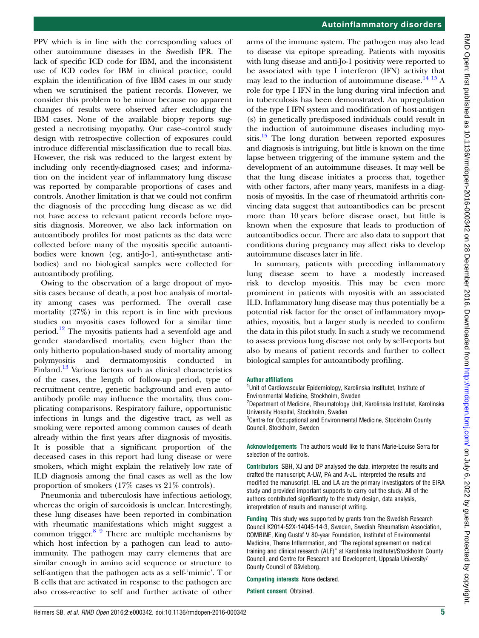PPV which is in line with the corresponding values of other autoimmune diseases in the Swedish IPR. The lack of specific ICD code for IBM, and the inconsistent use of ICD codes for IBM in clinical practice, could explain the identification of five IBM cases in our study when we scrutinised the patient records. However, we consider this problem to be minor because no apparent changes of results were observed after excluding the IBM cases. None of the available biopsy reports suggested a necrotising myopathy. Our case–control study design with retrospective collection of exposures could introduce differential misclassification due to recall bias. However, the risk was reduced to the largest extent by including only recently-diagnosed cases; and information on the incident year of inflammatory lung disease was reported by comparable proportions of cases and controls. Another limitation is that we could not confirm the diagnosis of the preceding lung disease as we did not have access to relevant patient records before myositis diagnosis. Moreover, we also lack information on autoantibody profiles for most patients as the data were collected before many of the myositis specific autoantibodies were known (eg, anti-Jo-1, anti-synthetase antibodies) and no biological samples were collected for autoantibody profiling.

Owing to the observation of a large dropout of myositis cases because of death, a post hoc analysis of mortality among cases was performed. The overall case mortality (27%) in this report is in line with previous studies on myositis cases followed for a similar time period.[12](#page-5-0) The myositis patients had a sevenfold age and gender standardised mortality, even higher than the only hitherto population-based study of mortality among polymyositis and dermatomyositis conducted in Finland.<sup>[13](#page-5-0)</sup> Various factors such as clinical characteristics of the cases, the length of follow-up period, type of recruitment centre, genetic background and even autoantibody profile may influence the mortality, thus complicating comparisons. Respiratory failure, opportunistic infections in lungs and the digestive tract, as well as smoking were reported among common causes of death already within the first years after diagnosis of myositis. It is possible that a significant proportion of the deceased cases in this report had lung disease or were smokers, which might explain the relatively low rate of ILD diagnosis among the final cases as well as the low proportion of smokers (17% cases vs 21% controls).

Pneumonia and tuberculosis have infectious aetiology, whereas the origin of sarcoidosis is unclear. Interestingly, these lung diseases have been reported in combination with rheumatic manifestations which might suggest a common trigger. $89$  There are multiple mechanisms by which host infection by a pathogen can lead to autoimmunity. The pathogen may carry elements that are similar enough in amino acid sequence or structure to self-antigen that the pathogen acts as a self-'mimic'. T or B cells that are activated in response to the pathogen are also cross-reactive to self and further activate of other

arms of the immune system. The pathogen may also lead to disease via epitope spreading. Patients with myositis with lung disease and anti-Jo-1 positivity were reported to be associated with type I interferon (IFN) activity that may lead to the induction of autoimmune disease.<sup> $1415$ </sup> A role for type I IFN in the lung during viral infection and in tuberculosis has been demonstrated. An upregulation of the type I IFN system and modification of host-antigen (s) in genetically predisposed individuals could result in the induction of autoimmune diseases including myo-sitis.<sup>[15](#page-5-0)</sup> The long duration between reported exposures and diagnosis is intriguing, but little is known on the time lapse between triggering of the immune system and the development of an autoimmune diseases. It may well be that the lung disease initiates a process that, together with other factors, after many years, manifests in a diagnosis of myositis. In the case of rheumatoid arthritis convincing data suggest that autoantibodies can be present more than 10 years before disease onset, but little is known when the exposure that leads to production of autoantibodies occur. There are also data to support that conditions during pregnancy may affect risks to develop autoimmune diseases later in life.

In summary, patients with preceding inflammatory lung disease seem to have a modestly increased risk to develop myositis. This may be even more prominent in patients with myositis with an associated ILD. Inflammatory lung disease may thus potentially be a potential risk factor for the onset of inflammatory myopathies, myositis, but a larger study is needed to confirm the data in this pilot study. In such a study we recommend to assess previous lung disease not only by self-reports but also by means of patient records and further to collect biological samples for autoantibody profiling.

#### Author affiliations

<sup>1</sup>Unit of Cardiovascular Epidemiology, Karolinska Institutet, Institute of Environmental Medicine, Stockholm, Sweden

2 Department of Medicine, Rheumatology Unit, Karolinska Institutet, Karolinska University Hospital, Stockholm, Sweden

<sup>3</sup> Centre for Occupational and Environmental Medicine, Stockholm County Council, Stockholm, Sweden

Acknowledgements The authors would like to thank Marie-Louise Serra for selection of the controls.

Contributors SBH, XJ and DP analysed the data, interpreted the results and drafted the manuscript; A-LW, PA and A-JL. interpreted the results and modified the manuscript. IEL and LA are the primary investigators of the EIRA study and provided important supports to carry out the study. All of the authors contributed significantly to the study design, data analysis, interpretation of results and manuscript writing.

Funding This study was supported by grants from the Swedish Research Council K2014-52X-14045-14-3, Sweden, Swedish Rheumatism Association, COMBINE, King Gustaf V 80-year Foundation, Institutet of Environmental Medicine, Theme Inflammation, and "The regional agreement on medical training and clinical research (ALF)" at Karolinska Institutet/Stockholm County Council, and Centre for Research and Development, Uppsala University/ County Council of Gävleborg.

Competing interests None declared.

Patient consent Obtained.